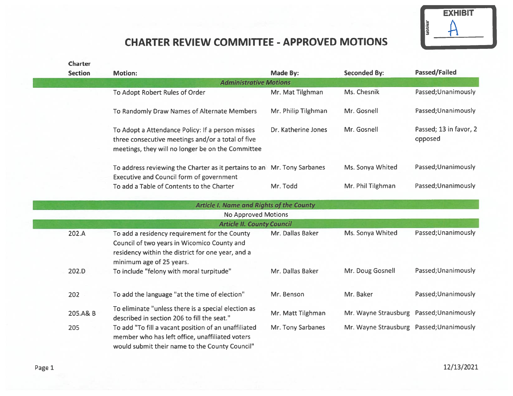

## CHARTER REVIEW COMMITTEE - APPROVED MOTIONS

| <b>Charter</b> |                                                                                                                                                                               |                     |                                          |                                   |
|----------------|-------------------------------------------------------------------------------------------------------------------------------------------------------------------------------|---------------------|------------------------------------------|-----------------------------------|
| <b>Section</b> | <b>Motion:</b>                                                                                                                                                                | <b>Made By:</b>     | <b>Seconded By:</b>                      | Passed/Failed                     |
|                | <b>Administrative Motions</b>                                                                                                                                                 |                     |                                          |                                   |
|                | To Adopt Robert Rules of Order                                                                                                                                                | Mr. Mat Tilghman    | Ms. Chesnik                              | Passed; Unanimously               |
|                | To Randomly Draw Names of Alternate Members                                                                                                                                   | Mr. Philip Tilghman | Mr. Gosnell                              | Passed; Unanimously               |
|                | To Adopt a Attendance Policy: If a person misses<br>three consecutive meetings and/or a total of five<br>meetings, they will no longer be on the Committee                    | Dr. Katherine Jones | Mr. Gosnell                              | Passed; 13 in favor, 2<br>opposed |
|                | To address reviewing the Charter as it pertains to an Mr. Tony Sarbanes<br><b>Executive and Council form of government</b>                                                    |                     | Ms. Sonya Whited                         | Passed; Unanimously               |
|                | To add a Table of Contents to the Charter                                                                                                                                     | Mr. Todd            | Mr. Phil Tilghman                        | Passed; Unanimously               |
|                | <b>Article I. Name and Rights of the County</b>                                                                                                                               |                     |                                          |                                   |
|                | <b>No Approved Motions</b>                                                                                                                                                    |                     |                                          |                                   |
|                | <b>Article II. County Council</b>                                                                                                                                             |                     |                                          |                                   |
| 202.A          | To add a residency requirement for the County<br>Council of two years in Wicomico County and<br>residency within the district for one year, and a<br>minimum age of 25 years. | Mr. Dallas Baker    | Ms. Sonya Whited                         | Passed; Unanimously               |
| 202.D          | To include "felony with moral turpitude"                                                                                                                                      | Mr. Dallas Baker    | Mr. Doug Gosnell                         | Passed; Unanimously               |
| 202            | To add the language "at the time of election"                                                                                                                                 | Mr. Benson          | Mr. Baker                                | Passed; Unanimously               |
| 205.A& B       | To eliminate "unless there is a special election as<br>described in section 206 to fill the seat."                                                                            | Mr. Matt Tilghman   | Mr. Wayne Strausburg Passed; Unanimously |                                   |
| 205            | To add "To fill a vacant position of an unaffiliated<br>member who has left office, unaffiliated voters<br>would submit their name to the County Council"                     | Mr. Tony Sarbanes   | Mr. Wayne Strausburg Passed; Unanimously |                                   |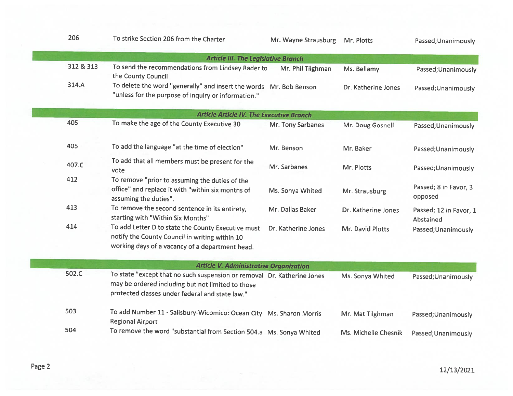| 206       | To strike Section 206 from the Charter                                                                                                                                          | Mr. Wayne Strausburg | Mr. Plotts           | Passed; Unanimously                 |
|-----------|---------------------------------------------------------------------------------------------------------------------------------------------------------------------------------|----------------------|----------------------|-------------------------------------|
|           | <b>Article III. The Legislative Branch</b>                                                                                                                                      |                      |                      |                                     |
| 312 & 313 | To send the recommendations from Lindsey Rader to<br>the County Council                                                                                                         | Mr. Phil Tilghman    | Ms. Bellamy          | Passed; Unanimously                 |
| 314.A     | To delete the word "generally" and insert the words Mr. Bob Benson<br>"unless for the purpose of inquiry or information."                                                       |                      | Dr. Katherine Jones  | Passed; Unanimously                 |
|           | <b>Article Article IV. The Executive Branch</b>                                                                                                                                 |                      |                      |                                     |
| 405       | To make the age of the County Executive 30                                                                                                                                      | Mr. Tony Sarbanes    | Mr. Doug Gosnell     | Passed; Unanimously                 |
| 405       | To add the language "at the time of election"                                                                                                                                   | Mr. Benson           | Mr. Baker            | Passed; Unanimously                 |
| 407.C     | To add that all members must be present for the<br>vote                                                                                                                         | Mr. Sarbanes         | Mr. Plotts           | Passed; Unanimously                 |
| 412       | To remove "prior to assuming the duties of the<br>office" and replace it with "within six months of<br>assuming the duties".                                                    | Ms. Sonya Whited     | Mr. Strausburg       | Passed; 8 in Favor, 3<br>opposed    |
| 413       | To remove the second sentence in its entirety,<br>starting with "Within Six Months"                                                                                             | Mr. Dallas Baker     | Dr. Katherine Jones  | Passed; 12 in Favor, 1<br>Abstained |
| 414       | To add Letter D to state the County Executive must<br>notify the County Council in writing within 10<br>working days of a vacancy of a department head.                         | Dr. Katherine Jones  | Mr. David Plotts     | Passed; Unanimously                 |
|           | <b>Article V. Administrative Organization</b>                                                                                                                                   |                      |                      |                                     |
| 502.C     | To state "except that no such suspension or removal Dr. Katherine Jones<br>may be ordered including but not limited to those<br>protected classes under federal and state law." |                      | Ms. Sonya Whited     | Passed; Unanimously                 |
| 503       | To add Number 11 - Salisbury-Wicomico: Ocean City Ms. Sharon Morris<br><b>Regional Airport</b>                                                                                  |                      | Mr. Mat Tilghman     | Passed; Unanimously                 |
| 504       | To remove the word "substantial from Section 504.a Ms. Sonya Whited                                                                                                             |                      | Ms. Michelle Chesnik | Passed; Unanimously                 |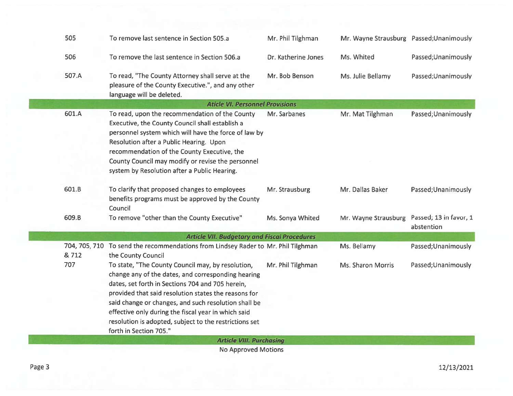| 505<br>To remove last sentence in Section 505.a<br>Mr. Phil Tilghman<br>Mr. Wayne Strausburg Passed; Unanimously                                                                                                                                                                                                                                                                                                                                                        |                                 |  |  |  |  |  |  |
|-------------------------------------------------------------------------------------------------------------------------------------------------------------------------------------------------------------------------------------------------------------------------------------------------------------------------------------------------------------------------------------------------------------------------------------------------------------------------|---------------------------------|--|--|--|--|--|--|
| 506<br>To remove the last sentence in Section 506.a<br>Dr. Katherine Jones<br>Ms. Whited                                                                                                                                                                                                                                                                                                                                                                                | Passed; Unanimously             |  |  |  |  |  |  |
| 507.A<br>To read, "The County Attorney shall serve at the<br>Mr. Bob Benson<br>Ms. Julie Bellamy<br>pleasure of the County Executive.", and any other<br>language will be deleted.                                                                                                                                                                                                                                                                                      | Passed; Unanimously             |  |  |  |  |  |  |
| <b>Aticle VI. Personnel Provisions</b>                                                                                                                                                                                                                                                                                                                                                                                                                                  |                                 |  |  |  |  |  |  |
| 601.A<br>To read, upon the recommendation of the County<br>Mr. Sarbanes<br>Mr. Mat Tilghman<br>Executive, the County Council shall establish a<br>personnel system which will have the force of law by<br>Resolution after a Public Hearing. Upon<br>recommendation of the County Executive, the<br>County Council may modify or revise the personnel<br>system by Resolution after a Public Hearing.                                                                   | Passed; Unanimously             |  |  |  |  |  |  |
| 601.B<br>To clarify that proposed changes to employees<br>Mr. Strausburg<br>Mr. Dallas Baker<br>benefits programs must be approved by the County<br>Council                                                                                                                                                                                                                                                                                                             | Passed; Unanimously             |  |  |  |  |  |  |
| Mr. Wayne Strausburg Passed; 13 in favor, 1<br>609.B<br>To remove "other than the County Executive"<br>Ms. Sonya Whited<br>abstention                                                                                                                                                                                                                                                                                                                                   |                                 |  |  |  |  |  |  |
| <b>Article VII. Budgetary and Fiscal Procedures</b>                                                                                                                                                                                                                                                                                                                                                                                                                     |                                 |  |  |  |  |  |  |
| 704, 705, 710 To send the recommendations from Lindsey Rader to Mr. Phil Tilghman<br>Ms. Bellamy<br>& 712<br>the County Council                                                                                                                                                                                                                                                                                                                                         | Passed; Unanimously             |  |  |  |  |  |  |
| 707<br>To state, "The County Council may, by resolution,<br>Mr. Phil Tilghman<br>Ms. Sharon Morris<br>change any of the dates, and corresponding hearing<br>dates, set forth in Sections 704 and 705 herein,<br>provided that said resolution states the reasons for<br>said change or changes, and such resolution shall be<br>effective only during the fiscal year in which said<br>resolution is adopted, subject to the restrictions set<br>forth in Section 705." | Passed; Unanimously             |  |  |  |  |  |  |
| Alan American and Adapti                                                                                                                                                                                                                                                                                                                                                                                                                                                | <b>Article VIII. Purchasing</b> |  |  |  |  |  |  |

No Approved Motions